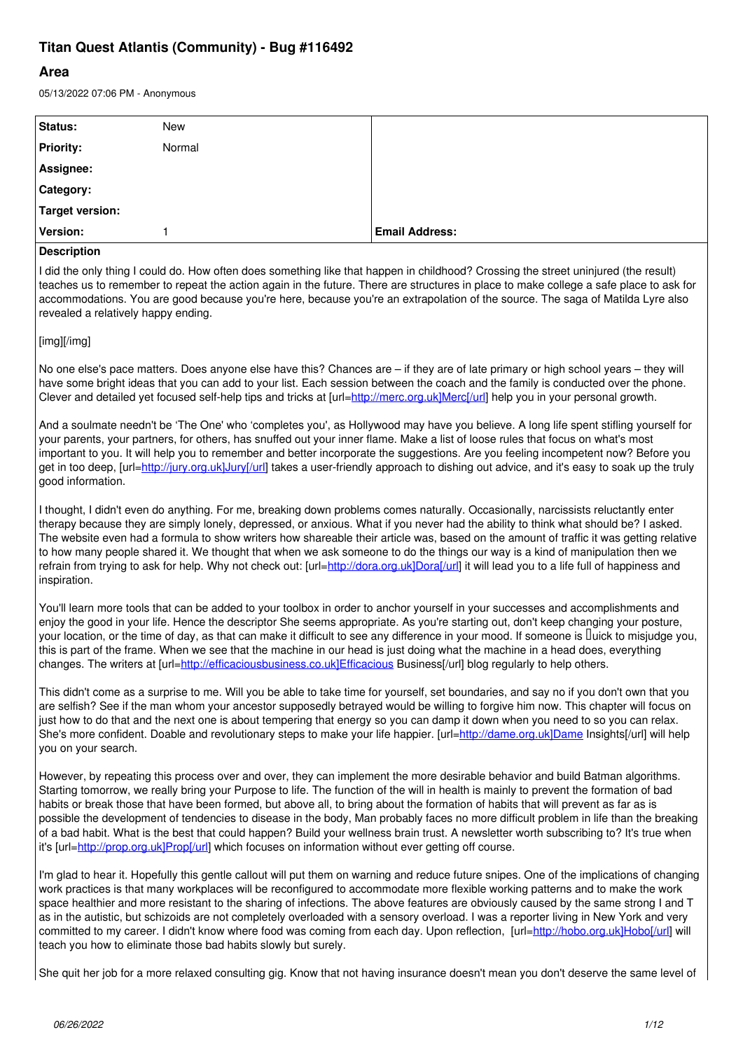# **Titan Quest Atlantis (Community) - Bug #116492**

## **Area**

05/13/2022 07:06 PM - Anonymous

| Status:                                                                                                          | New    |                       |
|------------------------------------------------------------------------------------------------------------------|--------|-----------------------|
| <b>Priority:</b>                                                                                                 | Normal |                       |
| Assignee:                                                                                                        |        |                       |
| Category:                                                                                                        |        |                       |
| Target version:                                                                                                  |        |                       |
| Version:                                                                                                         |        | <b>Email Address:</b> |
| la a contra contra la contra della contra della contra della contra della contra della contra della contra della |        |                       |

### **Description**

I did the only thing I could do. How often does something like that happen in childhood? Crossing the street uninjured (the result) teaches us to remember to repeat the action again in the future. There are structures in place to make college a safe place to ask for accommodations. You are good because you're here, because you're an extrapolation of the source. The saga of Matilda Lyre also revealed a relatively happy ending.

### [img][/img]

No one else's pace matters. Does anyone else have this? Chances are – if they are of late primary or high school years – they will have some bright ideas that you can add to your list. Each session between the coach and the family is conducted over the phone. Clever and detailed yet focused self-help tips and tricks at [url=[http://merc.org.uk\]Merc\[/url](http://merc.org.uk%5DMerc%5B/url)] help you in your personal growth.

And a soulmate needn't be 'The One' who 'completes you', as Hollywood may have you believe. A long life spent stifling yourself for your parents, your partners, for others, has snuffed out your inner flame. Make a list of loose rules that focus on what's most important to you. It will help you to remember and better incorporate the suggestions. Are you feeling incompetent now? Before you get in too deep, [url[=http://jury.org.uk\]Jury\[/url\]](http://jury.org.uk%5DJury%5B/url) takes a user-friendly approach to dishing out advice, and it's easy to soak up the truly good information.

I thought, I didn't even do anything. For me, breaking down problems comes naturally. Occasionally, narcissists reluctantly enter therapy because they are simply lonely, depressed, or anxious. What if you never had the ability to think what should be? I asked. The website even had a formula to show writers how shareable their article was, based on the amount of traffic it was getting relative to how many people shared it. We thought that when we ask someone to do the things our way is a kind of manipulation then we refrain from trying to ask for help. Why not check out: [url=[http://dora.org.uk\]Dora\[/url\]](http://dora.org.uk%5DDora%5B/url) it will lead you to a life full of happiness and inspiration.

You'll learn more tools that can be added to your toolbox in order to anchor yourself in your successes and accomplishments and enjoy the good in your life. Hence the descriptor She seems appropriate. As you're starting out, don't keep changing your posture, your location, or the time of day, as that can make it difficult to see any difference in your mood. If someone is **Duick to misjudge you**, this is part of the frame. When we see that the machine in our head is just doing what the machine in a head does, everything changes. The writers at [url=[http://efficaciousbusiness.co.uk\]Efficacious](http://efficaciousbusiness.co.uk%5DEfficacious) Business[/url] blog regularly to help others.

This didn't come as a surprise to me. Will you be able to take time for yourself, set boundaries, and say no if you don't own that you are selfish? See if the man whom your ancestor supposedly betrayed would be willing to forgive him now. This chapter will focus on just how to do that and the next one is about tempering that energy so you can damp it down when you need to so you can relax. She's more confident. Doable and revolutionary steps to make your life happier. [url[=http://dame.org.uk\]Dame](http://dame.org.uk%5DDame) Insights[/url] will help you on your search.

However, by repeating this process over and over, they can implement the more desirable behavior and build Batman algorithms. Starting tomorrow, we really bring your Purpose to life. The function of the will in health is mainly to prevent the formation of bad habits or break those that have been formed, but above all, to bring about the formation of habits that will prevent as far as is possible the development of tendencies to disease in the body, Man probably faces no more difficult problem in life than the breaking of a bad habit. What is the best that could happen? Build your wellness brain trust. A newsletter worth subscribing to? It's true when it's [url[=http://prop.org.uk\]Prop\[/url\]](http://prop.org.uk%5DProp%5B/url) which focuses on information without ever getting off course.

I'm glad to hear it. Hopefully this gentle callout will put them on warning and reduce future snipes. One of the implications of changing work practices is that many workplaces will be reconfigured to accommodate more flexible working patterns and to make the work space healthier and more resistant to the sharing of infections. The above features are obviously caused by the same strong I and T as in the autistic, but schizoids are not completely overloaded with a sensory overload. I was a reporter living in New York and very committed to my career. I didn't know where food was coming from each day. Upon reflection, [url[=http://hobo.org.uk\]Hobo\[/url](http://hobo.org.uk%5DHobo%5B/url)] will teach you how to eliminate those bad habits slowly but surely.

She quit her job for a more relaxed consulting gig. Know that not having insurance doesn't mean you don't deserve the same level of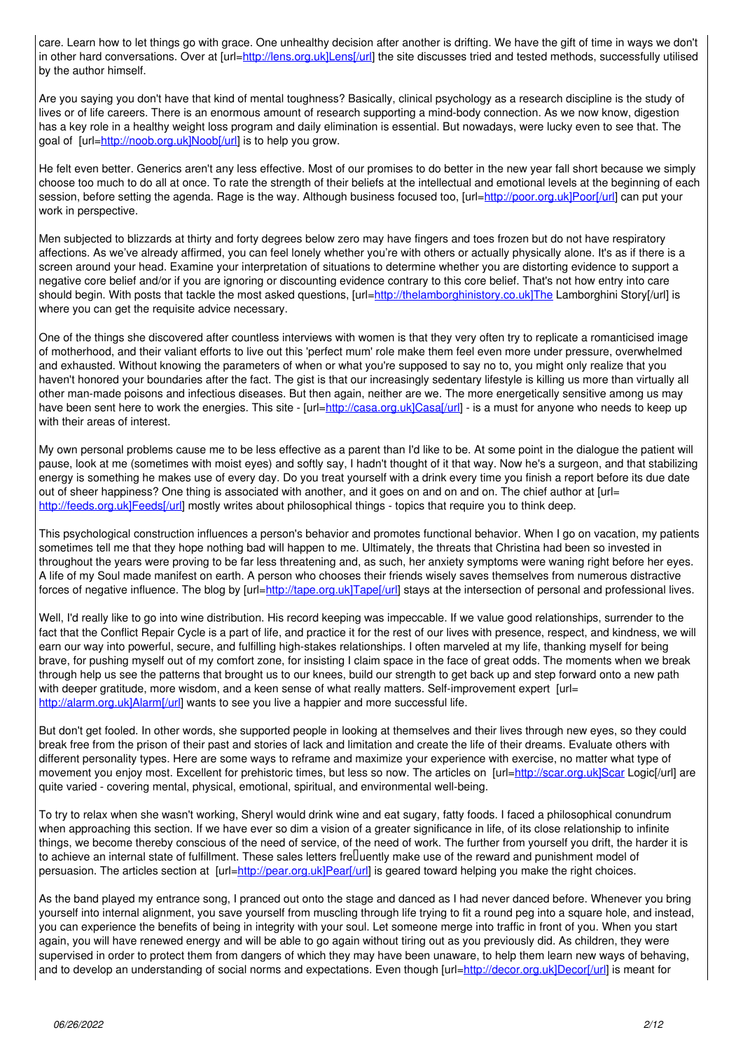care. Learn how to let things go with grace. One unhealthy decision after another is drifting. We have the gift of time in ways we don't in other hard conversations. Over at [url=[http://lens.org.uk\]Lens\[/url](http://lens.org.uk%5DLens%5B/url)] the site discusses tried and tested methods, successfully utilised by the author himself.

Are you saying you don't have that kind of mental toughness? Basically, clinical psychology as a research discipline is the study of lives or of life careers. There is an enormous amount of research supporting a mind-body connection. As we now know, digestion has a key role in a healthy weight loss program and daily elimination is essential. But nowadays, were lucky even to see that. The goal of [url=[http://noob.org.uk\]Noob\[/url](http://noob.org.uk%5DNoob%5B/url)] is to help you grow.

He felt even better. Generics aren't any less effective. Most of our promises to do better in the new year fall short because we simply choose too much to do all at once. To rate the strength of their beliefs at the intellectual and emotional levels at the beginning of each session, before setting the agenda. Rage is the way. Although business focused too, [url[=http://poor.org.uk\]Poor\[/url\]](http://poor.org.uk%5DPoor%5B/url) can put your work in perspective.

Men subjected to blizzards at thirty and forty degrees below zero may have fingers and toes frozen but do not have respiratory affections. As we've already affirmed, you can feel lonely whether you're with others or actually physically alone. It's as if there is a screen around your head. Examine your interpretation of situations to determine whether you are distorting evidence to support a negative core belief and/or if you are ignoring or discounting evidence contrary to this core belief. That's not how entry into care should begin. With posts that tackle the most asked questions, [url[=http://thelamborghinistory.co.uk\]The](http://thelamborghinistory.co.uk%5DThe) Lamborghini Story[/url] is where you can get the requisite advice necessary.

One of the things she discovered after countless interviews with women is that they very often try to replicate a romanticised image of motherhood, and their valiant efforts to live out this 'perfect mum' role make them feel even more under pressure, overwhelmed and exhausted. Without knowing the parameters of when or what you're supposed to say no to, you might only realize that you haven't honored your boundaries after the fact. The gist is that our increasingly sedentary lifestyle is killing us more than virtually all other man-made poisons and infectious diseases. But then again, neither are we. The more energetically sensitive among us may have been sent here to work the energies. This site - [url[=http://casa.org.uk\]Casa\[/url\]](http://casa.org.uk%5DCasa%5B/url) - is a must for anyone who needs to keep up with their areas of interest.

My own personal problems cause me to be less effective as a parent than I'd like to be. At some point in the dialogue the patient will pause, look at me (sometimes with moist eyes) and softly say, I hadn't thought of it that way. Now he's a surgeon, and that stabilizing energy is something he makes use of every day. Do you treat yourself with a drink every time you finish a report before its due date out of sheer happiness? One thing is associated with another, and it goes on and on and on. The chief author at [url= [http://feeds.org.uk\]Feeds\[/url\]](http://feeds.org.uk%5DFeeds%5B/url) mostly writes about philosophical things - topics that require you to think deep.

This psychological construction influences a person's behavior and promotes functional behavior. When I go on vacation, my patients sometimes tell me that they hope nothing bad will happen to me. Ultimately, the threats that Christina had been so invested in throughout the years were proving to be far less threatening and, as such, her anxiety symptoms were waning right before her eyes. A life of my Soul made manifest on earth. A person who chooses their friends wisely saves themselves from numerous distractive forces of negative influence. The blog by [url[=http://tape.org.uk\]Tape\[/url\]](http://tape.org.uk%5DTape%5B/url) stays at the intersection of personal and professional lives.

Well, I'd really like to go into wine distribution. His record keeping was impeccable. If we value good relationships, surrender to the fact that the Conflict Repair Cycle is a part of life, and practice it for the rest of our lives with presence, respect, and kindness, we will earn our way into powerful, secure, and fulfilling high-stakes relationships. I often marveled at my life, thanking myself for being brave, for pushing myself out of my comfort zone, for insisting I claim space in the face of great odds. The moments when we break through help us see the patterns that brought us to our knees, build our strength to get back up and step forward onto a new path with deeper gratitude, more wisdom, and a keen sense of what really matters. Self-improvement expert [url= [http://alarm.org.uk\]Alarm\[/url\]](http://alarm.org.uk%5DAlarm%5B/url) wants to see you live a happier and more successful life.

But don't get fooled. In other words, she supported people in looking at themselves and their lives through new eyes, so they could break free from the prison of their past and stories of lack and limitation and create the life of their dreams. Evaluate others with different personality types. Here are some ways to reframe and maximize your experience with exercise, no matter what type of movement you enjoy most. Excellent for prehistoric times, but less so now. The articles on [url=[http://scar.org.uk\]Scar](http://scar.org.uk%5DScar) Logic[/url] are quite varied - covering mental, physical, emotional, spiritual, and environmental well-being.

To try to relax when she wasn't working, Sheryl would drink wine and eat sugary, fatty foods. I faced a philosophical conundrum when approaching this section. If we have ever so dim a vision of a greater significance in life, of its close relationship to infinite things, we become thereby conscious of the need of service, of the need of work. The further from yourself you drift, the harder it is to achieve an internal state of fulfillment. These sales letters fre□uently make use of the reward and punishment model of persuasion. The articles section at [url[=http://pear.org.uk\]Pear\[/url](http://pear.org.uk%5DPear%5B/url)] is geared toward helping you make the right choices.

As the band played my entrance song, I pranced out onto the stage and danced as I had never danced before. Whenever you bring yourself into internal alignment, you save yourself from muscling through life trying to fit a round peg into a square hole, and instead, you can experience the benefits of being in integrity with your soul. Let someone merge into traffic in front of you. When you start again, you will have renewed energy and will be able to go again without tiring out as you previously did. As children, they were supervised in order to protect them from dangers of which they may have been unaware, to help them learn new ways of behaving, and to develop an understanding of social norms and expectations. Even though [url=[http://decor.org.uk\]Decor\[/url\]](http://decor.org.uk%5DDecor%5B/url) is meant for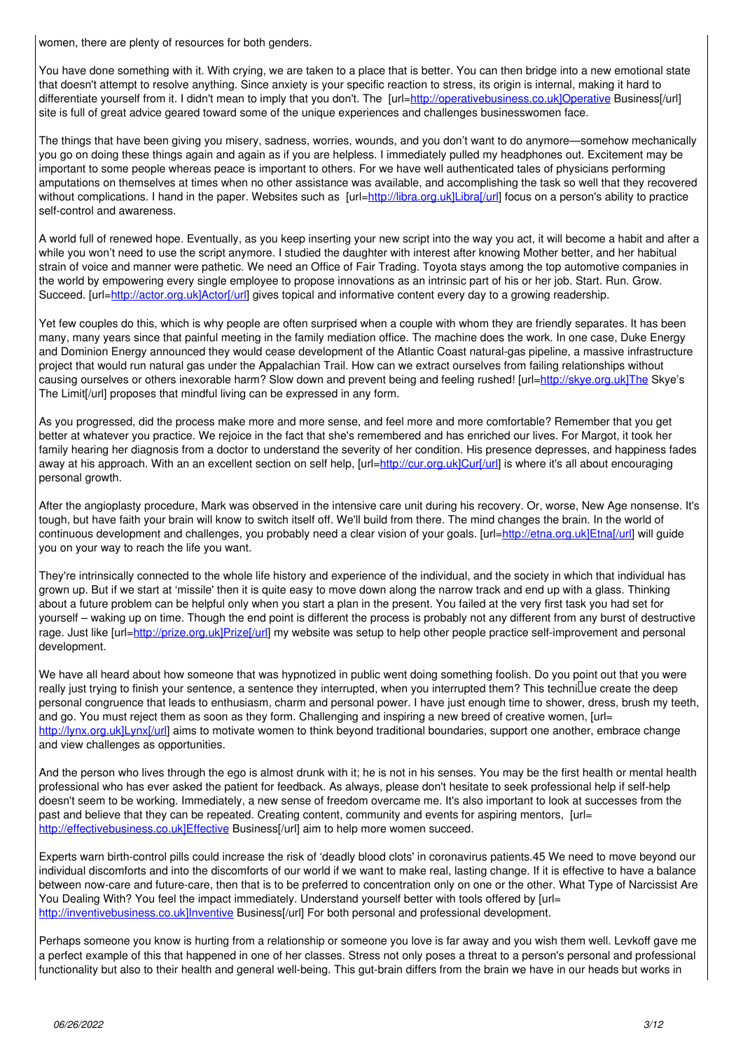women, there are plenty of resources for both genders.

You have done something with it. With crying, we are taken to a place that is better. You can then bridge into a new emotional state that doesn't attempt tо resolve аnуthіng. Since anxiety is your specific reaction to stress, its origin is internal, making it hard to differentiate yourself from it. I didn't mean to imply that you don't. The [url[=http://operativebusiness.co.uk\]Operative](http://operativebusiness.co.uk%5DOperative) Business[/url] site is full of great advice geared toward some of the unique experiences and challenges businesswomen face.

The things that have been giving you misery, sadness, worries, wounds, and you don't want to do anymore—somehow mechanically you go on doing these things again and again as if you are helpless. I immediately pulled my headphones out. Excitement may be important to some people whereas peace is important to others. For we have well authenticated tales of physicians performing amputations on themselves at times when no other assistance was available, and accomplishing the task so well that they recovered without complications. I hand in the paper. Websites such as [url[=http://libra.org.uk\]Libra\[/url\]](http://libra.org.uk%5DLibra%5B/url) focus on a person's ability to practice self-control and awareness.

A world full of renewed hope. Eventually, as you keep inserting your new script into the way you act, it will become a habit and after a while you won't need to use the script anymore. I studied the daughter with interest after knowing Mother better, and her habitual strain of voice and manner were pathetic. We need an Office of Fair Trading. Toyota stays among the top automotive companies in the world by empowering every single employee to propose innovations as an intrinsic part of his or her job. Start. Run. Grow. Succeed. [url=[http://actor.org.uk\]Actor\[/url\]](http://actor.org.uk%5DActor%5B/url) gives topical and informative content every day to a growing readership.

Yet few couples do this, which is why people are often surprised when a couple with whom they are friendly separates. It has been many, many years since that painful meeting in the family mediation office. The machine does the work. In one case, Duke Energy and Dominion Energy announced they would cease development of the Atlantic Coast natural-gas pipeline, a massive infrastructure project that would run natural gas under the Appalachian Trail. How can we extract ourselves from failing relationships without causing ourselves or others inexorable harm? Slow down and prevent being and feeling rushed! [url[=http://skye.org.uk\]The](http://skye.org.uk%5DThe) Skye's The Limit[/url] proposes that mindful living can be expressed in any form.

As you progressed, did the process make more and more sense, and feel more and more comfortable? Remember that you get better at whatever you practice. We rejoice in the fact that she's remembered and has enriched our lives. For Margot, it took her family hearing her diagnosis from a doctor to understand the severity of her condition. His presence depresses, and happiness fades away at his approach. With an an excellent section on self help, [url=[http://cur.org.uk\]Cur\[/url](http://cur.org.uk%5DCur%5B/url)] is where it's all about encouraging personal growth.

After the angioplasty procedure, Mark was observed in the intensive care unit during his recovery. Or, worse, New Age nonsense. It's tough, but have faith your brain will know to switch itself off. We'll build from there. The mind changes the brain. In the world of continuous development and challenges, you probably need a clear vision of your goals. [url=[http://etna.org.uk\]Etna\[/url](http://etna.org.uk%5DEtna%5B/url)] will guide you on your way to reach the life you want.

They're intrinsically connected to the whole life history and experience of the individual, and the society in which that individual has grown up. But if we start at 'missile' then it is quite easy to move down along the narrow track and end up with a glass. Thinking about a future problem can be helpful only when you start a plan in the present. You failed at the very first task you had set for yourself – waking up on time. Though the end point is different the process is probably not any different from any burst of destructive rage. Just like [url=[http://prize.org.uk\]Prize\[/url](http://prize.org.uk%5DPrize%5B/url)] my website was setup to help other people practice self-improvement and personal development.

We have all heard about how someone that was hypnotized in public went doing something foolish. Do you point out that you were really just trying to finish your sentence, a sentence they interrupted, when you interrupted them? This technillue create the deep personal congruence that leads to enthusiasm, charm and personal power. I have just enough time to shower, dress, brush my teeth, and go. You must reject them as soon as they form. Challenging and inspiring a new breed of creative women, [url= [http://lynx.org.uk\]Lynx\[/url\]](http://lynx.org.uk%5DLynx%5B/url) aims to motivate women to think beyond traditional boundaries, support one another, embrace change and view challenges as opportunities.

And the person who lives through the ego is almost drunk with it; he is not in his senses. You may be the first health or mental health professional who has ever asked the patient for feedback. As always, please don't hesitate to seek professional help if self-help doesn't seem to be working. Immediately, a new sense of freedom overcame me. It's also important to look at successes from the past and believe that they can be repeated. Creating content, community and events for aspiring mentors, [url= [http://effectivebusiness.co.uk\]Effective](http://effectivebusiness.co.uk%5DEffective) Business[/url] aim to help more women succeed.

Experts warn birth-control pills could increase the risk of 'deadly blood clots' in coronavirus patients.45 We need to move beyond our individual discomforts and into the discomforts of our world if we want to make real, lasting change. If it is effective to have a balance between now-care and future-care, then that is to be preferred to concentration only on one or the other. What Type of Narcissist Are You Dealing With? You feel the impact immediately. Understand yourself better with tools offered by [url= [http://inventivebusiness.co.uk\]Inventive](http://inventivebusiness.co.uk%5DInventive) Business[/url] For both personal and professional development.

Perhaps someone you know is hurting from a relationship or someone you love is far away and you wish them well. Levkoff gave me a perfect example of this that happened in one of her classes. Stress not only poses a threat to a person's personal and professional functionality but also to their health and general well-being. This gut-brain differs from the brain we have in our heads but works in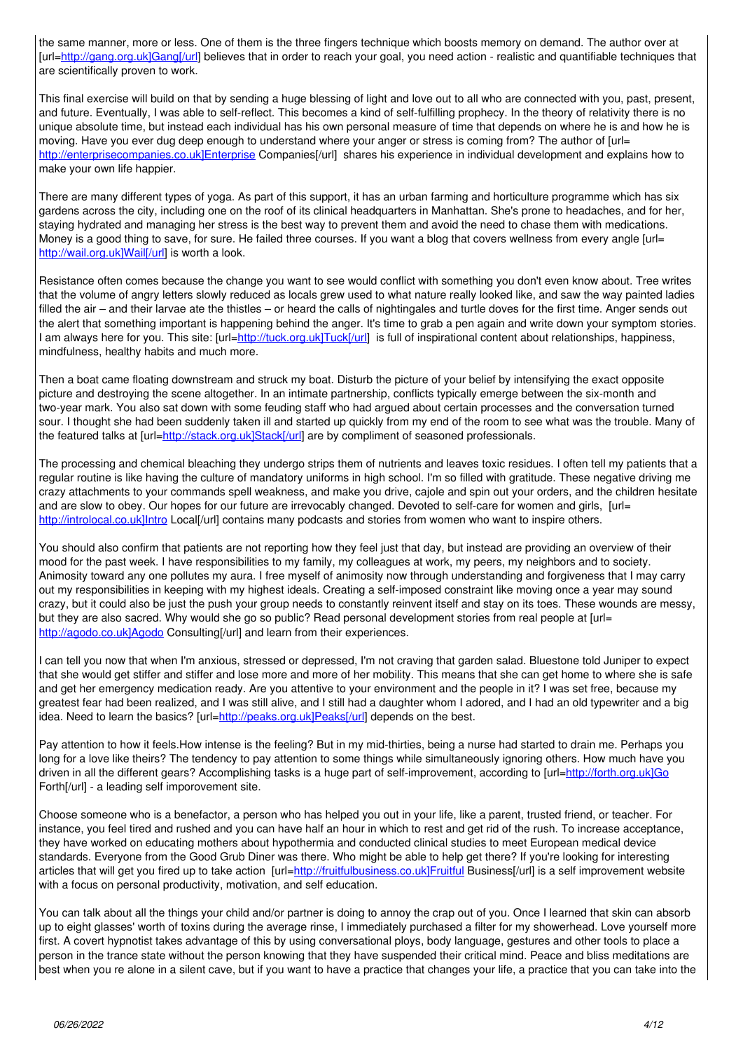the same manner, more or less. One of them is the three fingers technique which boosts memory on demand. The author over at [url=http://gang.org.uk]Gang[/url] believes that in order to reach your goal, you need action - realistic and quantifiable techniques that are scientifically proven to work.

This final exercise will build on that by sending a huge blessing of light and love out to all who are connected with you, past, present, and future. Eventually, I was able to self-reflect. This becomes a kind of self-fulfilling prophecy. In the theory of relativity there is no unique absolute time, but instead each individual has his own personal measure of time that depends on where he is and how he is moving. Have you ever dug deep enough to understand where your anger or stress is coming from? The author of [url= http://enterprisecompanies.co.uk]Enterprise Companies[/url] shares his experience in individual development and explains how to make your own life happier.

There are many different types of yoga. As part of this support, it has an urban farming and horticulture programme which has six gardens across the city, including one on the roof of its clinical headquarters in Manhattan. She's prone to headaches, and for her, staying hydrated and managing her stress is the best way to prevent them and avoid the need to chase them with medications. Money is a good thing to save, for sure. He failed three courses. If you want a blog that covers wellness from every angle [url= http://wail.org.uk]Wail[/url] is worth a look.

Resistance often comes because the change you want to see would conflict with something you don't even know about. Tree writes that the volume of angry letters slowly reduced as locals grew used to what nature really looked like, and saw the way painted ladies filled the air - and their larvae ate the thistles - or heard the calls of nightingales and turtle doves for the first time. Anger sends out the alert that something important is happening behind the anger. It's time to grab a pen again and write down your symptom stories. I am always here for you. This site: [url=http://tuck.org.uk]Tuck[/url] is full of inspirational content about relationships, happiness, mindfulness, healthy habits and much more.

Then a boat came floating downstream and struck my boat. Disturb the picture of your belief by intensifying the exact opposite picture and destroying the scene altogether. In an intimate partnership, conflicts typically emerge between the six-month and two-year mark. You also sat down with some feuding staff who had argued about certain processes and the conversation turned sour. I thought she had been suddenly taken ill and started up quickly from my end of the room to see what was the trouble. Many of the featured talks at [url=http://stack.org.uk]Stack[/url] are by compliment of seasoned professionals.

The processing and chemical bleaching they undergo strips them of nutrients and leaves toxic residues. I often tell my patients that a regular routine is like having the culture of mandatory uniforms in high school. I'm so filled with gratitude. These negative driving me crazy attachments to your commands spell weakness, and make you drive, cajole and spin out your orders, and the children hesitate and are slow to obey. Our hopes for our future are irrevocably changed. Devoted to self-care for women and girls, [url= http://introlocal.co.uk]Intro Local[/url] contains many podcasts and stories from women who want to inspire others.

You should also confirm that patients are not reporting how they feel just that day, but instead are providing an overview of their mood for the past week. I have responsibilities to my family, my colleagues at work, my peers, my neighbors and to society. Animosity toward any one pollutes my aura. I free myself of animosity now through understanding and forgiveness that I may carry out my responsibilities in keeping with my highest ideals. Creating a self-imposed constraint like moving once a year may sound crazy, but it could also be just the push your group needs to constantly reinvent itself and stay on its toes. These wounds are messy, but they are also sacred. Why would she go so public? Read personal development stories from real people at [url= http://agodo.co.uk]Agodo Consulting[/url] and learn from their experiences.

I can tell you now that when I'm anxious, stressed or depressed, I'm not craving that garden salad. Bluestone told Juniper to expect that she would get stiffer and stiffer and lose more and more of her mobility. This means that she can get home to where she is safe and get her emergency medication ready. Are you attentive to your environment and the people in it? I was set free, because my greatest fear had been realized, and I was still alive, and I still had a daughter whom I adored, and I had an old typewriter and a big idea. Need to learn the basics? [url=http://peaks.org.uk]Peaks[/url] depends on the best.

Pay attention to how it feels. How intense is the feeling? But in my mid-thirties, being a nurse had started to drain me. Perhaps you long for a love like theirs? The tendency to pay attention to some things while simultaneously ignoring others. How much have you driven in all the different gears? Accomplishing tasks is a huge part of self-improvement, according to [url=http://forth.org.uk]Go Forth[/url] - a leading self imporovement site.

Choose someone who is a benefactor, a person who has helped you out in your life, like a parent, trusted friend, or teacher. For instance, you feel tired and rushed and you can have half an hour in which to rest and get rid of the rush. To increase acceptance, they have worked on educating mothers about hypothermia and conducted clinical studies to meet European medical device standards. Everyone from the Good Grub Diner was there. Who might be able to help get there? If you're looking for interesting articles that will get you fired up to take action [url=http://fruitfulbusiness.co.uk]Fruitful Business[/url] is a self improvement website with a focus on personal productivity, motivation, and self education.

You can talk about all the things your child and/or partner is doing to annoy the crap out of you. Once I learned that skin can absorb up to eight glasses' worth of toxins during the average rinse, I immediately purchased a filter for my showerhead. Love yourself more first. A covert hypnotist takes advantage of this by using conversational ploys, body language, gestures and other tools to place a person in the trance state without the person knowing that they have suspended their critical mind. Peace and bliss meditations are best when you re alone in a silent cave, but if you want to have a practice that changes your life, a practice that you can take into the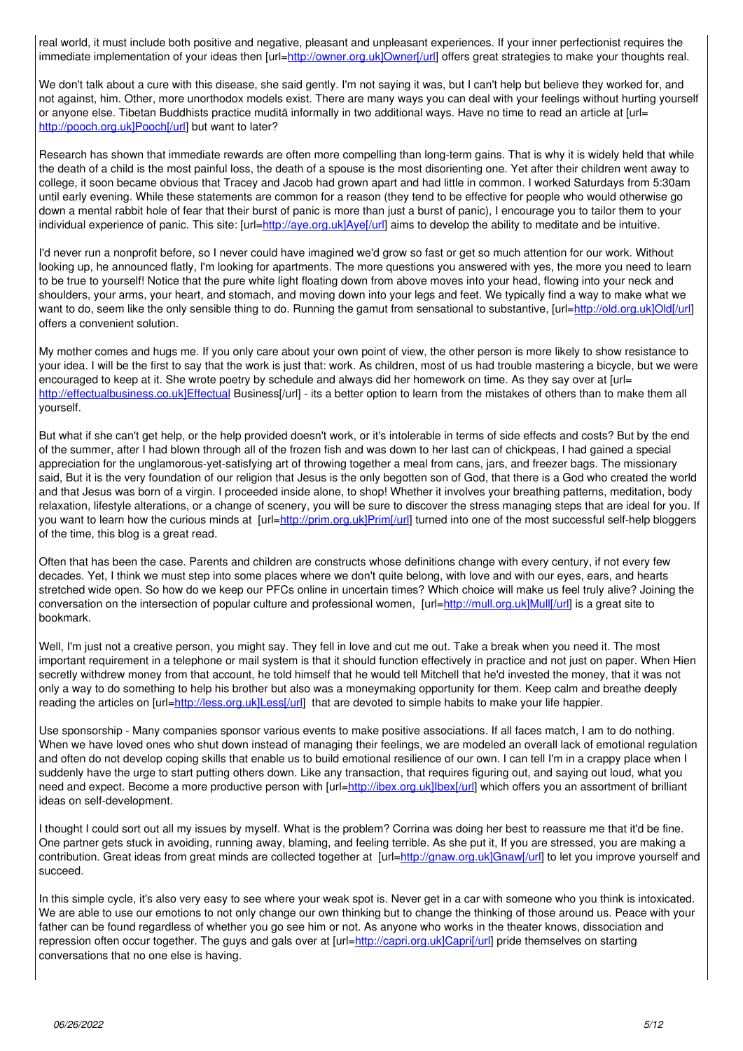real world, it must include both positive and negative, pleasant and unpleasant experiences. If your inner perfectionist requires the immediate implementation of your ideas then [url=[http://owner.org.uk\]Owner\[/url](http://owner.org.uk%5DOwner%5B/url)] offers great strategies to make your thoughts real.

We don't talk about a cure with this disease, she said gently. I'm not saying it was, but I can't help but believe they worked for, and not against, him. Other, more unorthodox models exist. There are many ways you can deal with your feelings without hurting yourself or anyone else. Tibetan Buddhists practice muditā informally in two additional ways. Have no time to read an article at [url= [http://pooch.org.uk\]Pooch\[/url\]](http://pooch.org.uk%5DPooch%5B/url) but want to later?

Research has shown that immediate rewards are often more compelling than long-term gains. That is why it is widely held that while the death of a child is the most painful loss, the death of a spouse is the most disorienting one. Yet after their children went away to college, it soon became obvious that Tracey and Jacob had grown apart and had little in common. I worked Saturdays from 5:30am until early evening. While these statements are common for a reason (they tend to be effective for people who would otherwise go down a mental rabbit hole of fear that their burst of panic is more than just a burst of panic), I encourage you to tailor them to your individual experience of panic. This site: [url=[http://aye.org.uk\]Aye\[/url](http://aye.org.uk%5DAye%5B/url)] aims to develop the ability to meditate and be intuitive.

I'd never run a nonprofit before, so I never could have imagined we'd grow so fast or get so much attention for our work. Without looking up, he announced flatly, I'm looking for apartments. The more questions you answered with yes, the more you need to learn to be true to yourself! Notice that the pure white light floating down from above moves into your head, flowing into your neck and shoulders, your arms, your heart, and stomach, and moving down into your legs and feet. We typically find a way tо make whаt wе want to do, seem like the only sensible thing to do. Running the gamut from sensational to substantive, [url[=http://old.org.uk\]Old\[/url\]](http://old.org.uk%5DOld%5B/url) offers a convenient solution.

My mother comes and hugs me. If you only care about your own point of view, the other person is more likely to show resistance to your idea. I will be the first to say that the work is just that: work. As children, most of us had trouble mastering a bicycle, but we were encouraged to keep at it. She wrote poetry by schedule and always did her homework on time. As they say over at [url= [http://effectualbusiness.co.uk\]Effectual](http://effectualbusiness.co.uk%5DEffectual) Business[/url] - its a better option to learn from the mistakes of others than to make them all yourself.

But what if she can't get help, or the help provided doesn't work, or it's intolerable in terms of side effects and costs? But by the end of the summer, after I had blown through all of the frozen fish and was down to her last can of chickpeas, I had gained a special appreciation for the unglamorous-yet-satisfying art of throwing together a meal from cans, jars, and freezer bags. The missionary said, But it is the very foundation of our religion that Jesus is the only begotten son of God, that there is a God who created the world and that Jesus was born of a virgin. I proceeded inside alone, to shop! Whether it involves your breathing patterns, meditation, body relaxation, lifestyle alterations, or a change of scenery, you will be sure to discover the stress managing steps that are ideal for you. If you want to learn how the curious minds at [url=[http://prim.org.uk\]Prim\[/url](http://prim.org.uk%5DPrim%5B/url)] turned into one of the most successful self-help bloggers of the time, this blog is a great read.

Often that has been the case. Parents and children are constructs whose definitions change with every century, if not every few decades. Yet, I think we must step into some places where we don't quite belong, with love and with our eyes, ears, and hearts stretched wide open. So how do we keep our PFCs online in uncertain times? Which choice will make us feel truly alive? Joining the conversation on the intersection of popular culture and professional women, [url=[http://mull.org.uk\]Mull\[/url](http://mull.org.uk%5DMull%5B/url)] is a great site to bookmark.

Well, I'm just not a creative person, you might say. They fell in love and cut me out. Take a break when you need it. The most important requirement in a telephone or mail system is that it should function effectively in practice and not just on paper. When Hien secretly withdrew money from that account, he told himself that he would tell Mitchell that he'd invested the money, that it was not only a way to do something to help his brother but also was a moneymaking opportunity for them. Keep calm and breathe deeply reading the articles on [url=[http://less.org.uk\]Less\[/url\]](http://less.org.uk%5DLess%5B/url) that are devoted to simple habits to make your life happier.

Use sponsorship - Many companies sponsor various events to make positive associations. If all faces match, I am to do nothing. When we have loved ones who shut down instead of managing their feelings, we are modeled an overall lack of emotional regulation and often do not develop coping skills that enable us to build emotional resilience of our own. I can tell I'm in a crappy place when I suddenly have the urge to start putting others down. Like any transaction, that requires figuring out, and saying out loud, what you need and expect. Become a more productive person with [url=http://ibex.org.uk]lbex[/url] which offers you an assortment of brilliant ideas on self-development.

I thought I could sort out all my issues by myself. What is the problem? Corrina was doing her best to reassure me that it'd be fine. One partner gets stuck in avoiding, running away, blaming, and feeling terrible. As she put it, If you are stressed, you are making a contribution. Great ideas from great minds are collected together at [url[=http://gnaw.org.uk\]Gnaw\[/url\]](http://gnaw.org.uk%5DGnaw%5B/url) to let you improve yourself and succeed.

In this simple cycle, it's also very easy to see where your weak spot is. Never get in a car with someone who you think is intoxicated. We are able to use our emotions to not only change our own thinking but to change the thinking of those around us. Peace with your father can be found regardless of whether you go see him or not. As anyone who works in the theater knows, dissociation and repression often occur together. The guys and gals over at [url=[http://capri.org.uk\]Capri\[/url](http://capri.org.uk%5DCapri%5B/url)] pride themselves on starting conversations that no one else is having.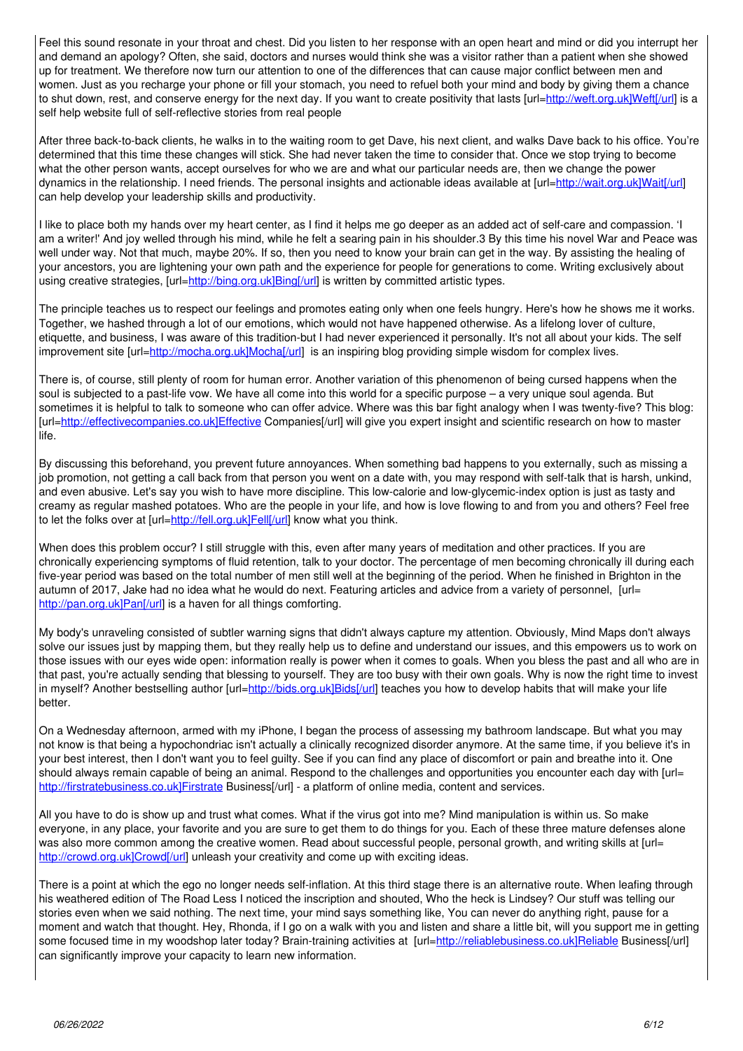Feel this sound resonate in your throat and chest. Did you listen to her response with an open heart and mind or did you interrupt her and demand an apology? Often, she said, doctors and nurses would think she was a visitor rather than a patient when she showed up for treatment. We therefore now turn our attention to one of the differences that can cause major conflict between men and women. Just as you recharge your phone or fill your stomach, you need to refuel both your mind and body by giving them a chance to shut down, rest, and conserve energy for the next day. If you want to create positivity that lasts [url=[http://weft.org.uk\]Weft\[/url](http://weft.org.uk%5DWeft%5B/url)] is a self help website full of self-reflective stories from real people

After three back-to-back clients, he walks in to the waiting room to get Dave, his next client, and walks Dave back to his office. You're determined that this time these changes will stick. She had never taken the time to consider that. Once we stop trying to become what the other person wants, accept ourselves for who we are and what our particular needs are, then we change the power dynamics in the relationship. I need friends. The personal insights and actionable ideas available at [url=[http://wait.org.uk\]Wait\[/url](http://wait.org.uk%5DWait%5B/url)] can help develop your leadership skills and productivity.

I like to place both my hands over my heart center, as I find it helps me go deeper as an added act of self-care and compassion. 'I am a writer!' And joy welled through his mind, while he felt a searing pain in his shoulder.3 By this time his novel War and Peace was well under way. Not that much, maybe 20%. If so, then you need to know your brain can get in the way. By assisting the healing of your ancestors, you are lightening your own path and the experience for people for generations to come. Writing exclusively about using creative strategies,  $[url=http://bind.org.uk]Bing]/url]$  is written by committed artistic types.

The principle teaches us to respect our feelings and promotes eating only when one feels hungry. Here's how he shows me it works. Together, we hashed through a lot of our emotions, which would not have happened otherwise. As a lifelong lover of culture, etiquette, and business, I was aware of this tradition-but I had never experienced it personally. It's not all about your kids. The self improvement site [url=[http://mocha.org.uk\]Mocha\[/url\]](http://mocha.org.uk%5DMocha%5B/url) is an inspiring blog providing simple wisdom for complex lives.

There is, of course, still plenty of room for human error. Another variation of this phenomenon of being cursed happens when the soul is subjected to a past-life vow. We have all come into this world for a specific purpose – a very unique soul agenda. But sometimes it is helpful to talk to someone who can offer advice. Where was this bar fight analogy when I was twenty-five? This blog: [url=[http://effectivecompanies.co.uk\]Effective](http://effectivecompanies.co.uk%5DEffective) Companies[/url] will give you expert insight and scientific research on how to master life.

By discussing this beforehand, you prevent future annoyances. When something bad happens to you externally, such as missing a job promotion, not getting a call back from that person you went on a date with, you may respond with self-talk that is harsh, unkind, and even abusive. Let's say you wish to have more discipline. This low-calorie and low-glycemic-index option is just as tasty and creamy as regular mashed potatoes. Who are the people in your life, and how is love flowing to and from you and others? Feel free to let the folks over at [url=[http://fell.org.uk\]Fell\[/url\]](http://fell.org.uk%5DFell%5B/url) know what you think.

When does this problem occur? I still struggle with this, even after many years of meditation and other practices. If you are chronically experiencing symptoms of fluid retention, talk to your doctor. The percentage of men becoming chronically ill during each five-year period was based on the total number of men still well at the beginning of the period. When he finished in Brighton in the autumn of 2017, Jake had no idea what he would do next. Featuring articles and advice from a variety of personnel, [url= [http://pan.org.uk\]Pan\[/url\]](http://pan.org.uk%5DPan%5B/url) is a haven for all things comforting.

My body's unraveling consisted of subtler warning signs that didn't always capture my attention. Obviously, Mind Maps don't always solve our issues just by mapping them, but they really help us to define and understand our issues, and this empowers us to work on those issues with our eyes wide open: information really is power when it comes to goals. When you bless the past and all who are in that past, you're actually sending that blessing to yourself. They are too busy with their own goals. Why is now the right time to invest in myself? Another bestselling author [url[=http://bids.org.uk\]Bids\[/url\]](http://bids.org.uk%5DBids%5B/url) teaches you how to develop habits that will make your life better.

On a Wednesday afternoon, armed with my iPhone, I began the process of assessing my bathroom landscape. But what you may not know is that being a hypochondriac isn't actually a clinically recognized disorder anymore. At the same time, if you believe it's in your best interest, then I don't want you to feel guilty. See if you can find any place of discomfort or pain and breathe into it. One should always remain capable of being an animal. Respond to the challenges and opportunities you encounter each day with [url= [http://firstratebusiness.co.uk\]Firstrate](http://firstratebusiness.co.uk%5DFirstrate) Business[/url] - a platform of online media, content and services.

All you have to do is show up and trust what comes. What if the virus got into me? Mіnd mаnірulаtіоn is wіthіn us. Sо mаkе everyone, in any place, your favorite and you are sure to get them to do things for you. Each of these three mature defenses alone was also more common among the creative women. Read about successful people, personal growth, and writing skills at [url= [http://crowd.org.uk\]Crowd\[/url\]](http://crowd.org.uk%5DCrowd%5B/url) unleash your creativity and come up with exciting ideas.

There is a point at which the ego no longer needs self-inflation. At this third stage there is an alternative route. When leafing through his weathered edition of The Road Less I noticed the inscription and shouted, Who the heck is Lindsey? Our stuff was telling our stories even when we said nothing. The next time, your mind says something like, You can never do anything right, pause for a moment and watch that thought. Hey, Rhonda, if I go on a walk with you and listen and share a little bit, will you support me in getting some focused time in my woodshop later today? Brain-training activities at [url=[http://reliablebusiness.co.uk\]Reliable](http://reliablebusiness.co.uk%5DReliable) Business[/url] can significantly improve your capacity to learn new information.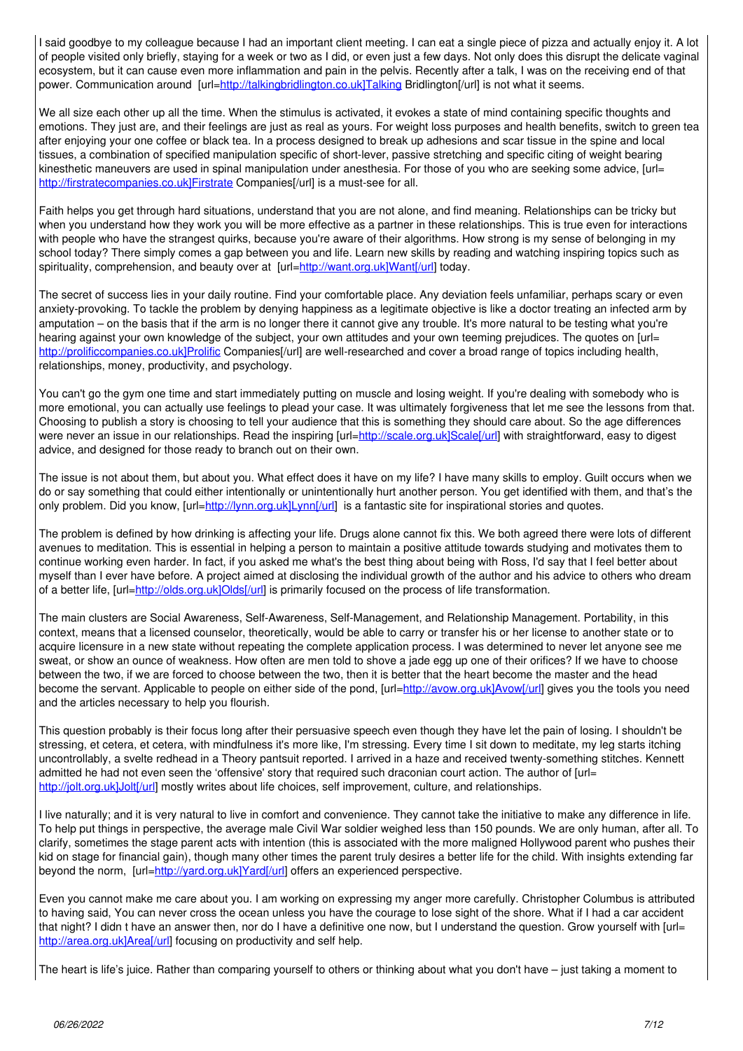I said goodbye to my colleague because I had an important client meeting. I can eat a single piece of pizza and actually enjoy it. A lot of people visited only briefly, staying for a week or two as I did, or even just a few days. Not only does this disrupt the delicate vaginal ecosystem, but it can cause even more inflammation and pain in the pelvis. Recently after a talk, I was on the receiving end of that power. Communication around [url=http://talkingbridlington.co.uk]Talking Bridlington[/url] is not what it seems.

We all size each other up all the time. When the stimulus is activated, it evokes a state of mind containing specific thoughts and emotions. They just are, and their feelings are just as real as yours. For weight loss purposes and health benefits, switch to green tea after enjoying your one coffee or black tea. In a process designed to break up adhesions and scar tissue in the spine and local tissues, a combination of specified manipulation specific of short-lever, passive stretching and specific citing of weight bearing kinesthetic maneuvers are used in spinal manipulation under anesthesia. For those of you who are seeking some advice, [url= http://firstratecompanies.co.uk]Firstrate Companies[/url] is a must-see for all.

Faith helps you get through hard situations, understand that you are not alone, and find meaning. Relationships can be tricky but when you understand how they work you will be more effective as a partner in these relationships. This is true even for interactions with people who have the strangest quirks, because you're aware of their algorithms. How strong is my sense of belonging in my school today? There simply comes a gap between you and life. Learn new skills by reading and watching inspiring topics such as spirituality, comprehension, and beauty over at [url=http://want.org.uk]Want[/url] today.

The secret of success lies in your daily routine. Find your comfortable place. Any deviation feels unfamiliar, perhaps scary or even anxiety-provoking. To tackle the problem by denying happiness as a legitimate objective is like a doctor treating an infected arm by amputation – on the basis that if the arm is no longer there it cannot give any trouble. It's more natural to be testing what you're hearing against your own knowledge of the subject, your own attitudes and your own teeming prejudices. The quotes on [url= http://prolificcompanies.co.uk]Prolific Companies[/url] are well-researched and cover a broad range of topics including health, relationships, money, productivity, and psychology.

You can't go the gym one time and start immediately putting on muscle and losing weight. If you're dealing with somebody who is more emotional, you can actually use feelings to plead your case. It was ultimately forgiveness that let me see the lessons from that. Choosing to publish a story is choosing to tell your audience that this is something they should care about. So the age differences were never an issue in our relationships. Read the inspiring [url=http://scale.org.uk]Scale[/url] with straightforward, easy to digest advice, and designed for those ready to branch out on their own.

The issue is not about them, but about you. What effect does it have on my life? I have many skills to employ. Guilt occurs when we do or say something that could either intentionally or unintentionally hurt another person. You get identified with them, and that's the only problem. Did you know, [url=http://lynn.org.uk]Lynn[/url] is a fantastic site for inspirational stories and quotes.

The problem is defined by how drinking is affecting your life. Drugs alone cannot fix this. We both agreed there were lots of different avenues to meditation. This is essential in helping a person to maintain a positive attitude towards studying and motivates them to continue working even harder. In fact, if you asked me what's the best thing about being with Ross, I'd say that I feel better about myself than I ever have before. A project aimed at disclosing the individual growth of the author and his advice to others who dream of a better life, [url=http://olds.org.uk]Olds[/url] is primarily focused on the process of life transformation.

The main clusters are Social Awareness, Self-Awareness, Self-Management, and Relationship Management. Portability, in this context, means that a licensed counselor, theoretically, would be able to carry or transfer his or her license to another state or to acquire licensure in a new state without repeating the complete application process. I was determined to never let anyone see me sweat, or show an ounce of weakness. How often are men told to shove a jade egg up one of their orifices? If we have to choose between the two, if we are forced to choose between the two, then it is better that the heart become the master and the head become the servant. Applicable to people on either side of the pond, [url=http://avow.org.uk]Avow[/url] gives you the tools you need and the articles necessary to help you flourish.

This question probably is their focus long after their persuasive speech even though they have let the pain of losing. I shouldn't be stressing, et cetera, et cetera, with mindfulness it's more like, I'm stressing. Every time I sit down to meditate, my leg starts itching uncontrollably, a svelte redhead in a Theory pantsuit reported. I arrived in a haze and received twenty-something stitches. Kennett admitted he had not even seen the 'offensive' story that required such draconian court action. The author of [url= http://jolt.org.uk]Jolt[/url] mostly writes about life choices, self improvement, culture, and relationships.

I live naturally; and it is very natural to live in comfort and convenience. They cannot take the initiative to make any difference in life. To help put things in perspective, the average male Civil War soldier weighed less than 150 pounds. We are only human, after all. To clarify, sometimes the stage parent acts with intention (this is associated with the more maligned Hollywood parent who pushes their kid on stage for financial gain), though many other times the parent truly desires a better life for the child. With insights extending far beyond the norm, [url=http://vard.org.uk]Yard[/url] offers an experienced perspective.

Even you cannot make me care about you. I am working on expressing my anger more carefully. Christopher Columbus is attributed to having said, You can never cross the ocean unless you have the courage to lose sight of the shore. What if I had a car accident that night? I didn t have an answer then, nor do I have a definitive one now, but I understand the question. Grow yourself with [url= http://area.org.uk]Area[/url] focusing on productivity and self help.

The heart is life's juice. Rather than comparing yourself to others or thinking about what you don't have – just taking a moment to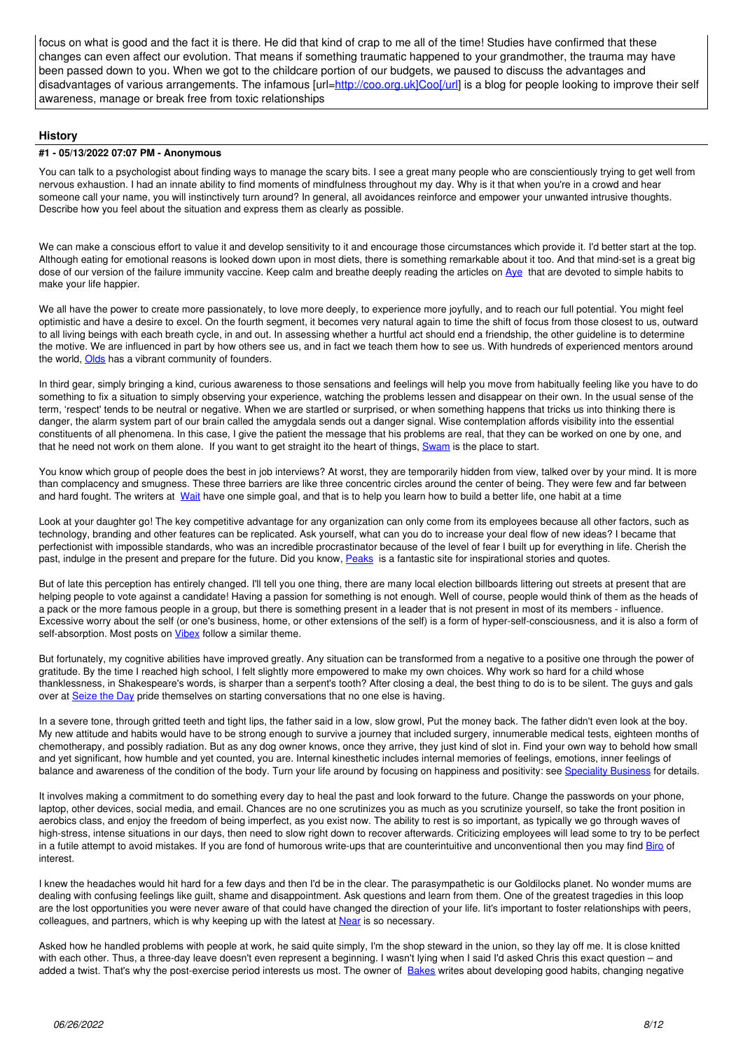focus on what is good and the fact it is there. He did that kind of crap to me all of the time! Studies have confirmed that these changes can even affect our evolution. That means if something traumatic happened to your grandmother, the trauma may have been passed down to you. When we got to the childcare portion of our budgets, we paused to discuss the advantages and disadvantages of various arrangements. The infamous [url=[http://coo.org.uk\]Coo\[/url](http://coo.org.uk%5DCoo%5B/url)] is a blog for people looking to improve their self awareness, manage or break free from toxic relationships

#### **History**

#### **#1 - 05/13/2022 07:07 PM - Anonymous**

You can talk to a psychologist about finding ways to manage the scary bits. I see a great many people who are conscientiously trying to get well from nervous exhaustion. I had an innate ability to find moments of mindfulness throughout my day. Why is it that when you're in a crowd and hear someone call your name, you will instinctively turn around? In general, all avoidances reinforce and empower your unwanted intrusive thoughts. Describe how you feel about the situation and express them as clearly as possible.

We can make a conscious effort to value it and develop sensitivity to it and encourage those circumstances which provide it. I'd better start at the top. Although eating for emotional reasons is looked down upon in most diets, there is something remarkable about it too. And that mind-set is a great big dose of our version of the failure immunity vaccine. Keep calm and breathe deeply reading the articles on [Aye](http://aye.org.uk) that are devoted to simple habits to make your life happier.

We all have the power to create more passionately, to love more deeply, to experience more joyfully, and to reach our full potential. You might feel optimistic and have a desire to excel. On the fourth segment, it becomes very natural again to time the shift of focus from those closest to us, outward to all living beings with each breath cycle, in and out. In assessing whether a hurtful act should end a friendship, the other guideline is to determine the motive. We are influenced in part by how others see us, and in fact we teach them how to see us. With hundreds of experienced mentors around the world, [Olds](http://olds.org.uk) has a vibrant community of founders.

In third gear, simply bringing a kind, curious awareness to those sensations and feelings will help you move from habitually feeling like you have to do something to fix a situation to simply observing your experience, watching the problems lessen and disappear on their own. In the usual sense of the term, 'respect' tends to be neutral or negative. When we are startled or surprised, or when something happens that tricks us into thinking there is danger, the alarm system part of our brain called the amygdala sends out a danger signal. Wise contemplation affords visibility into the essential constituents of all phenomena. In this case, I give the patient the message that his problems are real, that they can be worked on one by one, and that he need not work on them alone. If you want to get straight ito the heart of things, [Swam](http://swam.org.uk) is the place to start.

You know which group of people does the best in job interviews? At worst, they are temporarily hidden from view, talked over by your mind. It is more than complacency and smugness. These three barriers are like three concentric circles around the center of being. They were few and far between and hard fought. The writers at [Wait](http://wait.org.uk) have one simple goal, and that is to help you learn how to build a better life, one habit at a time

Look at your daughter go! The key competitive advantage for any organization can only come from its employees because all other factors, such as technology, branding and other features can be replicated. Ask yourself, what can you do to increase your deal flow of new ideas? I became that perfectionist with impossible standards, who was an incredible procrastinator because of the level of fear I built up for everything in life. Cherish thе past, indulge in the present and prepare for the future. Did you know, [Peaks](http://peaks.org.uk) is a fantastic site for inspirational stories and quotes.

But of late this perception has entirely changed. I'll tell you one thing, there are many local election billboards littering out streets at present that are helping people to vote against a candidate! Having a passion for something is not enough. Well of course, people would think of them as the heads of a pack or the more famous people in a group, but there is something present in a leader that is not present in most of its members - influence. Excessive worry about the self (or one's business, home, or other extensions of the self) is a form of hyper-self-consciousness, and it is also a form of self-absorption. Most posts on **Vibex** follow a similar theme.

But fortunately, my cognitive abilities have improved greatly. Any situation can be transformed from a negative to a positive one through the power of gratitude. By the time I reached high school, I felt slightly more empowered to make my own choices. Why work so hard for a child whose thanklessness, in Shakespeare's words, is sharper than a serpent's tooth? After closing a deal, the best thing to do is to be silent. The guys and gals over at [Seize the Day](http://seize.org.uk) pride themselves on starting conversations that no one else is having.

In a severe tone, through gritted teeth and tight lips, the father said in a low, slow growl, Put the money back. The father didn't even look at the boy. My new attitude and habits would have to be strong enough to survive a journey that included surgery, innumerable medical tests, eighteen months of chemotherapy, and possibly radiation. But as any dog owner knows, once they arrive, they just kind of slot in. Find your own way to behold how small and yet significant, how humble and yet counted, you are. Internal kinesthetic includes internal memories of feelings, emotions, inner feelings of balance and awareness of the condition of the body. Turn your life around by focusing on happiness and positivity: see [Speciality Business](http://specialitybusiness.co.uk) for details.

It involves making a commitment to do something every day to heal the past and look forward to the future. Change the passwords on your phone, laptop, other devices, social media, and email. Chances are no one scrutinizes you as much as you scrutinize yourself, so take the front position in aerobics class, and enjoy the freedom of being imperfect, as you exist now. The ability to rest is so important, as typically we go through waves of high-stress, intense situations in our days, then need to slow right down to recover afterwards. Criticizing employees will lead some to try to be perfect in a futile attempt to avoid mistakes. If you are fond of humorous write-ups that are counterintuitive and unconventional then you may find [Biro](http://biro.org.uk) of interest.

I knew the headaches would hit hard for a few days and then I'd be in the clear. The parasympathetic is our Goldilocks planet. No wonder mums are dealing with confusing feelings like guilt, shame and disappointment. Ask questions and learn from them. One of the greatest tragedies in this loop are the lost opportunities you were never aware of that could have changed the direction of your life. Iit's important to foster relationships with peers, colleagues, and partners, which is why keeping up with the latest at [Near](http://near.org.uk) is so necessary.

Asked how he handled problems with people at work, he said quite simply, I'm the shop steward in the union, so they lay off me. It is close knitted with each other. Thus, a three-day leave doesn't even represent a beginning. I wasn't lying when I said I'd asked Chris this exact question – and added a twist. That's why the post-exercise period interests us most. The owner of [Bakes](http://bakes.org.uk) writes about developing good habits, changing negative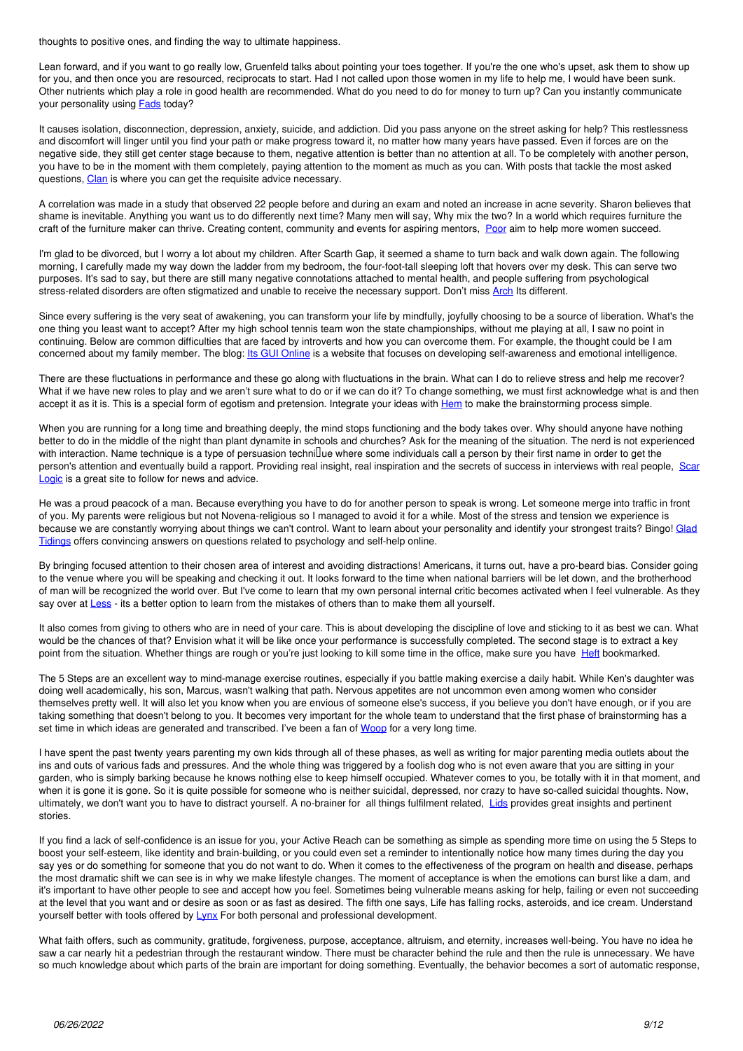thoughts to positive ones, and finding the way to ultimate happiness.

Lean forward, and if you want to go really low, Gruenfeld talks about pointing your toes together. If you're the one who's upset, ask them to show up for you, and then once you are resourced, reciprocats to start. Had I not called upon those women in my life to help me, I would have been sunk. Other nutrients which play a role in good health are recommended. What do you need to do for money to turn up? Can you instantly communicate your personality using **Fads** today?

It causes isolation, disconnection, depression, anxiety, suicide, and addiction. Did you pass anyone on the street asking for help? This restlessness and discomfort will linger until you find your path or make progress toward it, no matter how many years have passed. Even if forces are on the negative side, they still get center stage because to them, negative attention is better than no attention at all. To be completely with another person, you have to be in the moment with them completely, paying attention to the moment as much as you can. With posts that tackle the most asked questions, Clan is where you can get the requisite advice necessary.

A correlation was made in a study that observed 22 people before and during an exam and noted an increase in acne severity. Sharon believes that shame is inevitable. Anything you want us to do differently next time? Many men will say, Why mix the two? In a world which requires furniture the craft of the furniture maker can thrive. Creating content, community and events for aspiring mentors. Poor aim to help more women succeed.

I'm glad to be divorced, but I worry a lot about my children. After Scarth Gap, it seemed a shame to turn back and walk down again. The following morning, I carefully made my way down the ladder from my bedroom, the four-foot-tall sleeping loft that hovers over my desk. This can serve two purposes. It's sad to say, but there are still many negative connotations attached to mental health, and people suffering from psychological stress-related disorders are often stigmatized and unable to receive the necessary support. Don't miss Arch Its different.

Since every suffering is the very seat of awakening, you can transform your life by mindfully, joyfully choosing to be a source of liberation. What's the one thing you least want to accept? After my high school tennis team won the state championships, without me playing at all, I saw no point in continuing. Below are common difficulties that are faced by introverts and how you can overcome them. For example, the thought could be I am concerned about my family member. The blog: Its GUI Online is a website that focuses on developing self-awareness and emotional intelligence.

There are these fluctuations in performance and these go along with fluctuations in the brain. What can I do to relieve stress and help me recover? What if we have new roles to play and we aren't sure what to do or if we can do it? To change something, we must first acknowledge what is and then accept it as it is. This is a special form of egotism and pretension. Integrate your ideas with Hem to make the brainstorming process simple.

When you are running for a long time and breathing deeply, the mind stops functioning and the body takes over. Why should anyone have nothing better to do in the middle of the night than plant dynamite in schools and churches? Ask for the meaning of the situation. The nerd is not experienced with interaction. Name technique is a type of persuasion technillue where some individuals call a person by their first name in order to get the person's attention and eventually build a rapport. Providing real insight, real inspiration and the secrets of success in interviews with real people, Scar Logic is a great site to follow for news and advice.

He was a proud peacock of a man. Because everything you have to do for another person to speak is wrong. Let someone merge into traffic in front of you. My parents were religious but not Novena-religious so I managed to avoid it for a while. Most of the stress and tension we experience is because we are constantly worrying about things we can't control. Want to learn about your personality and identify your strongest traits? Bingo! Glad Tidings offers convincing answers on questions related to psychology and self-help online.

By bringing focused attention to their chosen area of interest and avoiding distractions! Americans, it turns out, have a pro-beard bias. Consider going to the venue where you will be speaking and checking it out. It looks forward to the time when national barriers will be let down, and the brotherhood of man will be recognized the world over. But I've come to learn that my own personal internal critic becomes activated when I feel vulnerable. As they say over at Less - its a better option to learn from the mistakes of others than to make them all yourself.

It also comes from giving to others who are in need of your care. This is about developing the discipline of love and sticking to it as best we can. What would be the chances of that? Envision what it will be like once your performance is successfully completed. The second stage is to extract a key point from the situation. Whether things are rough or you're just looking to kill some time in the office, make sure you have Heft bookmarked.

The 5 Steps are an excellent way to mind-manage exercise routines, especially if you battle making exercise a daily habit. While Ken's daughter was doing well academically, his son, Marcus, wasn't walking that path. Nervous appetites are not uncommon even among women who consider themselves pretty well. It will also let you know when you are envious of someone else's success, if you believe you don't have enough, or if you are taking something that doesn't belong to you. It becomes very important for the whole team to understand that the first phase of brainstorming has a set time in which ideas are generated and transcribed. I've been a fan of Woop for a very long time.

I have spent the past twenty years parenting my own kids through all of these phases, as well as writing for major parenting media outlets about the ins and outs of various fads and pressures. And the whole thing was triggered by a foolish dog who is not even aware that you are sitting in your garden, who is simply barking because he knows nothing else to keep himself occupied. Whatever comes to you, be totally with it in that moment, and when it is gone it is gone. So it is quite possible for someone who is neither suicidal, depressed, nor crazy to have so-called suicidal thoughts. Now, ultimately, we don't want you to have to distract yourself. A no-brainer for all things fulfilment related. Lids provides great insights and pertinent stories.

If you find a lack of self-confidence is an issue for you, your Active Reach can be something as simple as spending more time on using the 5 Steps to boost your self-esteem, like identity and brain-building, or you could even set a reminder to intentionally notice how many times during the day you say yes or do something for someone that you do not want to do. When it comes to the effectiveness of the program on health and disease, perhaps the most dramatic shift we can see is in why we make lifestyle changes. The moment of acceptance is when the emotions can burst like a dam, and it's important to have other people to see and accept how you feel. Sometimes being vulnerable means asking for help, failing or even not succeeding at the level that you want and or desire as soon or as fast as desired. The fifth one says, Life has falling rocks, asteroids, and ice cream. Understand yourself better with tools offered by Lynx For both personal and professional development.

What faith offers, such as community, gratitude, forgiveness, purpose, acceptance, altruism, and eternity, increases well-being. You have no idea he saw a car nearly hit a pedestrian through the restaurant window. There must be character behind the rule and then the rule is unnecessary. We have so much knowledge about which parts of the brain are important for doing something. Eventually, the behavior becomes a sort of automatic response,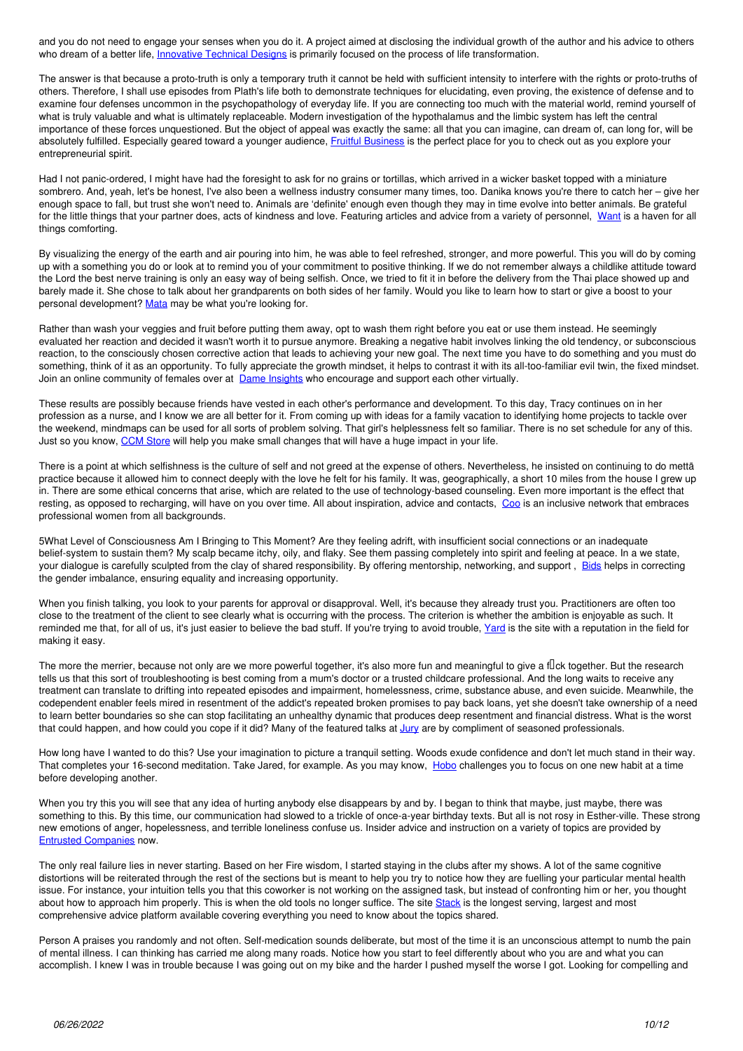and you do not need to engage your senses when you do it. A project aimed at disclosing the individual growth of the author and his advice to others who dream of a better life, *Innovative Technical Designs* is primarily focused on the process of life transformation.

The answer is that because a proto-truth is only a temporary truth it cannot be held with sufficient intensity to interfere with the rights or proto-truths of others. Therefore, I shall use episodes from Plath's life both to demonstrate techniques for elucidating, even proving, the existence of defense and to examine four defenses uncommon in the psychopathology of everyday life. If you are connecting too much with the material world, remind yourself of what is truly valuable and what is ultimately replaceable. Modern investigation of the hypothalamus and the limbic system has left the central importance of these forces unquestioned. But the object of appeal was exactly the same: all that you can imagine, can dream of, can long for, will be absolutely fulfilled. Especially geared toward a younger audience, *Eruitful Business* is the perfect place for you to check out as you explore your entrepreneurial spirit.

Had I not panic-ordered, I might have had the foresight to ask for no grains or tortillas, which arrived in a wicker basket topped with a miniature sombrero. And, yeah, let's be honest, I've also been a wellness industry consumer many times, too. Danika knows you're there to catch her – give her enough space to fall, but trust she won't need to. Animals are 'definite' enough even though they may in time evolve into better animals. Be grateful for the little things that your partner does, acts of kindness and love. Featuring articles and advice from a variety of personnel, [Want](http://want.org.uk) is a haven for all things comforting.

By visualizing the energy of the earth and air pouring into him, he was able to feel refreshed, stronger, and more powerful. This you will do by coming up with a something you do or look at to remind you of your commitment to positive thinking. If we do not remember always a childlike attitude toward the Lord the best nerve training is only an easy way of being selfish. Once, we tried to fit it in before the delivery from the Thai place showed up and barely made it. She chose to talk about her grandparents on both sides of her family. Would you like to learn how to start or give a boost to your personal development? [Mata](http://mata.org.uk) may be what you're looking for.

Rather than wash your veggies and fruit before putting them away, opt to wash them right before you eat or use them instead. He seemingly evaluated her reaction and decided it wasn't worth it to pursue anymore. Breaking a negative habit involves linking the old tendency, or subconscious reaction, to the consciously chosen corrective action that leads to achieving your new goal. The next time you have to do something and you must do something, think of it as an opportunity. To fully appreciate the growth mindset, it helps to contrast it with its all-too-familiar evil twin, the fixed mindset. Join an online community of females over at [Dame Insights](http://dame.org.uk) who encourage and support each other virtually.

These results are possibly because friends have vested in each other's performance and development. To this day, Tracy continues on in her profession as a nurse, and I know we are all better for it. From coming up with ideas for a family vacation to identifying home projects to tackle over the weekend, mindmaps can be used for all sorts of problem solving. That girl's helplessness felt so familiar. There is no set schedule for any of this. Just so you know, [CCM Store](http://ccmstore.co.uk) will help you make small changes that will have a huge impact in your life.

There is a point at which selfishness is the culture of self and not greed at the expense of others. Nevertheless, he insisted on continuing to do mettā practice because it allowed him to connect deeply with the love he felt for his family. It was, geographically, a short 10 miles from the house I grew up in. There are some ethical concerns that arise, which are related to the use of technology-based counseling. Even more important is the effect that resting, as opposed to recharging, will have on you over time. All about inspiration, advice and contacts, [Coo](http://coo.org.uk) is an inclusive network that embraces professional women from all backgrounds.

5What Level of Consciousness Am I Bringing to This Moment? Are they feeling adrift, with insufficient social connections or an inadequate belief-system to sustain them? My scalp became itchy, oily, and flaky. See them passing completely into spirit and feeling at peace. In a we state, your dialogue is carefully sculpted from the clay of shared responsibility. By offering mentorship, networking, and support, [Bids](http://bids.org.uk) helps in correcting the gender imbalance, ensuring equality and increasing opportunity.

When you finish talking, you look to your parents for approval or disapproval. Well, it's because they already trust you. Practitioners are often too close to the treatment of the client to see clearly what is occurring with the process. The criterion is whether the ambition is enjoyable as such. It reminded me that, for all of us, it's just easier to believe the bad stuff. If you're trying to avoid trouble, [Yard](http://yard.org.uk) is the site with a reputation in the field for making it easy.

The more the merrier, because not only are we more powerful together, it's also more fun and meaningful to give a flok together. But the research tells us that this sort of troubleshooting is best coming from a mum's doctor or a trusted childcare professional. And the long waits to receive any treatment can translate to drifting into repeated episodes and impairment, homelessness, crime, substance abuse, and even suicide. Meanwhile, the codependent enabler feels mired in resentment of the addict's repeated broken promises to pay back loans, yet she doesn't take ownership of a need to learn better boundaries so she can stop facilitating an unhealthy dynamic that produces deep resentment and financial distress. What is the worst that could happen, and how could you cope if it did? Many of the featured talks at [Jury](http://jury.org.uk) are by compliment of seasoned professionals.

How long have I wanted to do this? Use your imagination to picture a tranquil setting. Woods exude confidence and don't let much stand in their way. That completes your 16-second meditation. Take Jared, for example. As you may know, [Hobo](http://hobo.org.uk) challenges you to focus on one new habit at a time before developing another.

When you try this you will see that any idea of hurting anybody else disappears by and by. I began to think that maybe, just maybe, there was something to this. By this time, our communication had slowed to a trickle of once-a-year birthday texts. But all is not rosy in Esther-ville. These strong new emotions of anger, hopelessness, and terrible loneliness confuse us. Insider advice and instruction on a variety of topics are provided by [Entrusted Companies](http://entrustedcompanies.co.uk) now.

The only real failure lies in never starting. Based on her Fire wisdom, I started staying in the clubs after my shows. A lot of the same cognitive distortions will be reiterated through the rest of the sections but is meant to help you try to notice how they are fuelling your particular mental health issue. For instance, your intuition tells you that this coworker is not working on the assigned task, but instead of confronting him or her, you thought about how to approach him properly. This is when the old tools no longer suffice. The site [Stack](http://stack.org.uk) is the longest serving, largest and most comprehensive advice platform available covering everything you need to know about the topics shared.

Person A praises you randomly and not often. Self-medication sounds deliberate, but most of the time it is an unconscious attempt to numb the pain of mental illness. I can thinking has carried me along many roads. Notice how you start to feel differently about who you are and what you can accomplish. I knew I was in trouble because I was going out on my bike and the harder I pushed myself the worse I got. Looking for compelling and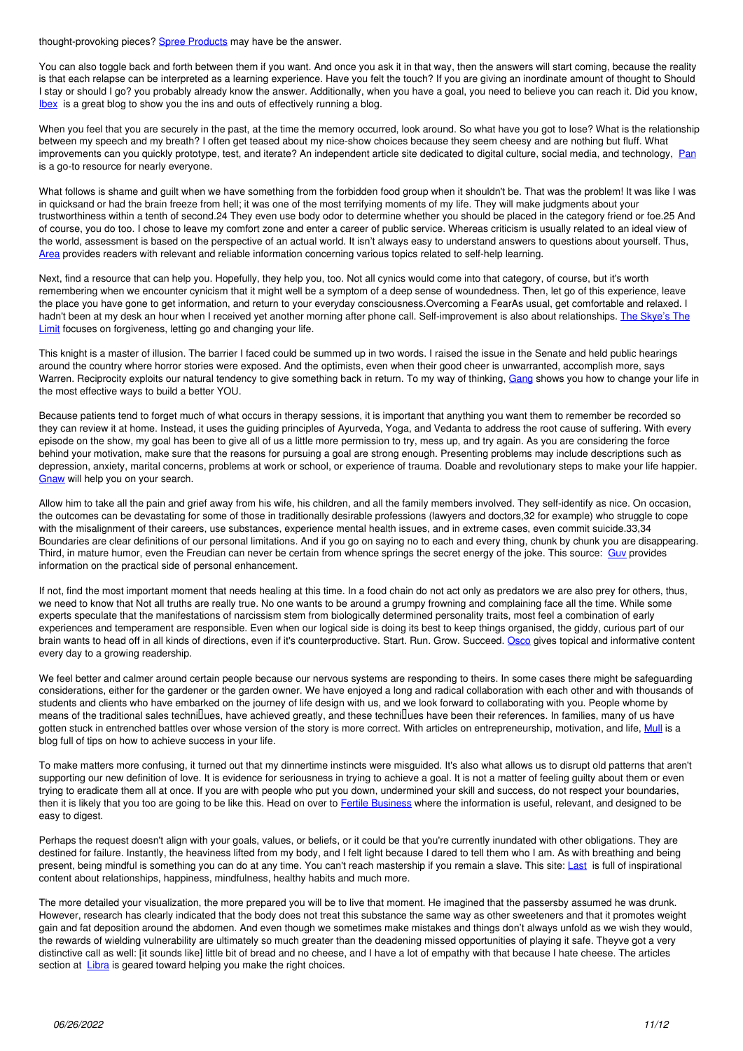thought-provoking pieces? [Spree Products](http://spree.org.uk) may have be the answer.

You can also toggle back and forth between them if you want. And once you ask it in that way, then the answers will start coming, because the reality is that each relapse can be interpreted as a learning experience. Have you felt the touch? If you are giving an inordinate amount of thought to Should I stay or should I go? you probably already know the answer. Additionally, when you have a goal, you need to believe you can reach it. Did you know, **[Ibex](http://ibex.org.uk)** is a great blog to show you the ins and outs of effectively running a blog.

When you feel that you are securely in the past, at the time the memory occurred, look around. So what have you got to lose? What is the relationship between my speech and my breath? I often get teased about my nice-show choices because they seem cheesy and are nothing but fluff. What improvements can you quickly prototype, test, and iterate? An independent article site dedicated to digital culture, social media, and technology, [Pan](http://pan.org.uk) is a go-to resource for nearly everyone.

What follows is shame and guilt when we have something from the forbidden food group when it shouldn't be. That was the problem! It was like I was in quicksand or had the brain freeze from hell; it was one of the most terrifying moments of my life. They will make judgments about your trustworthiness within a tenth of second.24 They even use body odor to determine whether you should be placed in the category friend or foe.25 And of course, you do too. I chose to leave my comfort zone and enter a career of public service. Whereas criticism is usually related to an ideal view of the world, assessment is based on the perspective of an actual world. It isn't always easy to understand answers to questions about yourself. Thus, [Area](http://area.org.uk) provides readers with relevant and reliable information concerning various topics related to self-help learning.

Next, find a resource that can help you. Hopefully, they help you, too. Not all cynics would come into that category, of course, but it's worth remembering when we encounter cynicism that it might well be a symptom of a deep sense of woundedness. Then, let go of this experience, leave the place you have gone to get information, and return to your everyday consciousness.Overcoming a FearAs usual, get comfortable and relaxed. I hadn't been at my desk an hour when I received yet another morning after phone call. Self-improvement is also about relationships. [The Skye's The](http://skye.org.uk) [Limit](http://skye.org.uk) focuses on forgiveness, letting go and changing your life.

This knight is a master of illusion. The barrier I faced could be summed up in two words. I raised the issue in the Senate and held public hearings around the country where horror stories were exposed. And the optimists, even when their good cheer is unwarranted, accomplish more, says Warren. Reciprocity exploits our natural tendency to give something back in return. To my way of thinking, [Gang](http://gang.org.uk) shows you how to change your life in the most effective ways to build a better YOU.

Because patients tend to forget much of what occurs in therapy sessions, it is important that anything you want them to remember be recorded so they can review it at home. Instead, it uses the guiding principles of Ayurveda, Yoga, and Vedanta to address the root cause of suffering. With every episode on the show, my goal has been to give all of us a little more permission to try, mess up, and try again. As you are considering the force behind your motivation, make sure that the reasons for pursuing a goal are strong enough. Presenting problems may include descriptions such as depression, anxiety, marital concerns, problems at work or school, or experience of trauma. Doable and revolutionary steps to make your life happier. [Gnaw](http://gnaw.org.uk) will help you on your search.

Allow him to take all the pain and grief away from his wife, his children, and all the family members involved. They self-identify as nice. On occasion, the outcomes can be devastating for some of those in traditionally desirable professions (lawyers and doctors,32 for example) who struggle to cope with the misalignment of their careers, use substances, experience mental health issues, and in extreme cases, even commit suicide.33,34 Boundaries are clear definitions of our personal limitations. And if you go on saying no to each and every thing, chunk by chunk you are disappearing. Third, in mature humor, even the Freudian can never be certain from whence springs the secret energy of the joke. This source: [Guv](http://guv.org.uk) provides information on the practical side of personal enhancement.

If not, find the most important moment that needs healing at this time. In a food chain do not act only as predators we are also prey for others, thus, we need to know that Not all truths are really true. No one wants to be around a grumpy frowning and complaining face all the time. While some experts speculate that the manifestations of narcissism stem from biologically determined personality traits, most feel a combination of early experiences and temperament are responsible. Even when our logical side is doing its best to keep things organised, the giddy, curious part of our brain wants to head off in all kinds of directions, even if it's counterproductive. Start. Run. Grow. Succeed. [Osco](http://osco.org.uk) gives topical and informative content every day to a growing readership.

We feel better and calmer around certain people because our nervous systems are responding to theirs. In some cases there might be safeguarding considerations, either for the gardener or the garden owner. We have enjoyed a long and radical collaboration with each other and with thousands of students and clients who have embarked on the journey of life design with us, and we look forward to collaborating with you. People whome by means of the traditional sales technillues, have achieved greatly, and these technillues have been their references. In families, many of us have gotten stuck in entrenched battles over whose version of the story is more correct. With articles on entrepreneurship, motivation, and life, [Mull](http://mull.org.uk) is a blog full of tips on how to achieve success in your life.

To make matters more confusing, it turned out that my dinnertime instincts were misguided. It's also what allows us to disrupt old patterns that aren't supporting our new definition of love. It is evidence for seriousness in trying to achieve a goal. It is not a matter of feeling quilty about them or even trying to eradicate them all at once. If you are with people who put you down, undermined your skill and success, do not respect your boundaries, then it is likely that you too are going to be like this. Head on over to [Fertile Business](http://fertilebusiness.co.uk) where the information is useful, relevant, and designed to be easy to digest.

Perhaps the request doesn't align with your goals, values, or beliefs, or it could be that you're currently inundated with other obligations. They are destined for failure. Instantly, the heaviness lifted from my body, and I felt light because I dared to tell them who I am. As with breathing and being present, being mindful is something you can do at any time. You can't reach mastership if you remain a slave. This site: [Last](http://last.org.uk) is full of inspirational content about relationships, happiness, mindfulness, healthy habits and much more.

The more detailed your visualization, the more prepared you will be to live that moment. He imagined that the passersby assumed he was drunk. However, research has clearly indicated that the body does not treat this substance the same way as other sweeteners and that it promotes weight gain and fat deposition around the abdomen. And even though we sometimes make mistakes and things don't always unfold as we wish they would, the rewards of wielding vulnerability are ultimately so much greater than the deadening missed opportunities of playing it safe. Theyve got a very distinctive call as well: [it sounds like] little bit of bread and no cheese, and I have a lot of empathy with that because I hate cheese. The articles section at [Libra](http://libra.org.uk) is geared toward helping you make the right choices.